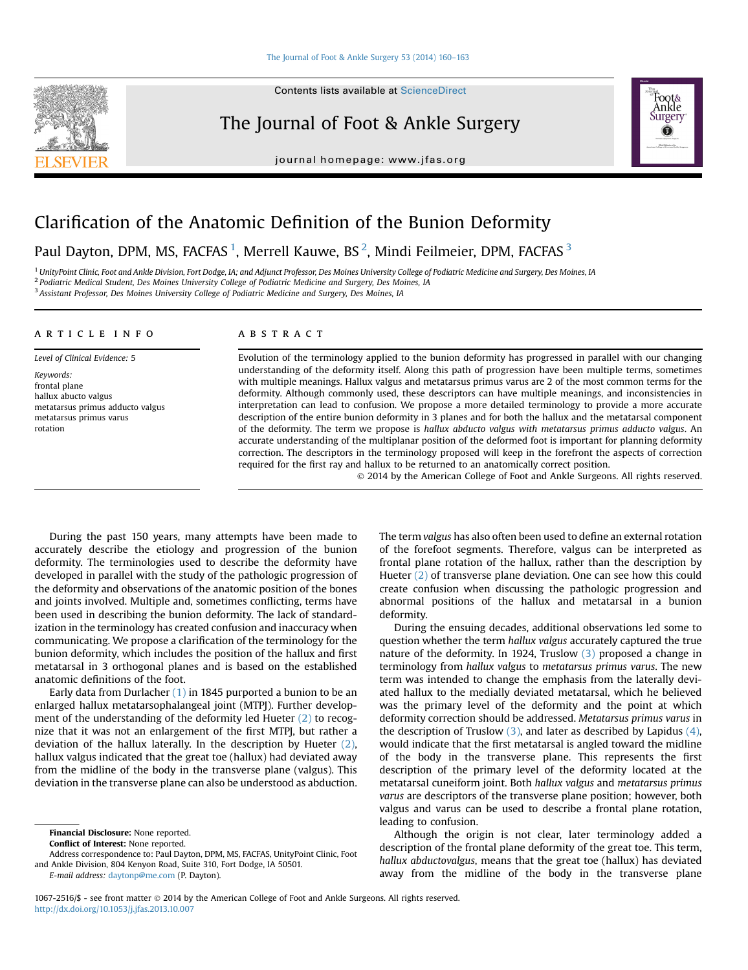**Contents lists available at ScienceDirect** 

# The Journal of Foot & Ankle Surgery

journal homepage: [www.jfas.org](http://www.jfas.org)



# Clarification of the Anatomic Definition of the Bunion Deformity

# Paul Dayton, DPM, MS, FACFAS  $^1$ , Merrell Kauwe, BS  $^2$ , Mindi Feilmeier, DPM, FACFAS  $^3$

<sup>1</sup> UnityPoint Clinic, Foot and Ankle Division, Fort Dodge, IA; and Adjunct Professor, Des Moines University College of Podiatric Medicine and Surgery, Des Moines, IA <sup>2</sup> Podiatric Medical Student, Des Moines University College of Podiatric Medicine and Surgery, Des Moines, IA

<sup>3</sup> Assistant Professor, Des Moines University College of Podiatric Medicine and Surgery, Des Moines, IA

## article info

Level of Clinical Evidence: 5 Keywords: frontal plane hallux abucto valgus metatarsus primus adducto valgus metatarsus primus varus rotation

## **ABSTRACT**

Evolution of the terminology applied to the bunion deformity has progressed in parallel with our changing understanding of the deformity itself. Along this path of progression have been multiple terms, sometimes with multiple meanings. Hallux valgus and metatarsus primus varus are 2 of the most common terms for the deformity. Although commonly used, these descriptors can have multiple meanings, and inconsistencies in interpretation can lead to confusion. We propose a more detailed terminology to provide a more accurate description of the entire bunion deformity in 3 planes and for both the hallux and the metatarsal component of the deformity. The term we propose is hallux abducto valgus with metatarsus primus adducto valgus. An accurate understanding of the multiplanar position of the deformed foot is important for planning deformity correction. The descriptors in the terminology proposed will keep in the forefront the aspects of correction required for the first ray and hallux to be returned to an anatomically correct position.

2014 by the American College of Foot and Ankle Surgeons. All rights reserved.

During the past 150 years, many attempts have been made to accurately describe the etiology and progression of the bunion deformity. The terminologies used to describe the deformity have developed in parallel with the study of the pathologic progression of the deformity and observations of the anatomic position of the bones and joints involved. Multiple and, sometimes conflicting, terms have been used in describing the bunion deformity. The lack of standardization in the terminology has created confusion and inaccuracy when communicating. We propose a clarification of the terminology for the bunion deformity, which includes the position of the hallux and first metatarsal in 3 orthogonal planes and is based on the established anatomic definitions of the foot.

Early data from Durlacher [\(1\)](#page-3-0) in 1845 purported a bunion to be an enlarged hallux metatarsophalangeal joint (MTPJ). Further development of the understanding of the deformity led Hueter [\(2\)](#page-3-0) to recognize that it was not an enlargement of the first MTPJ, but rather a deviation of the hallux laterally. In the description by Hueter [\(2\)](#page-3-0), hallux valgus indicated that the great toe (hallux) had deviated away from the midline of the body in the transverse plane (valgus). This deviation in the transverse plane can also be understood as abduction.

Financial Disclosure: None reported.

E-mail address: [daytonp@me.com](mailto:daytonp@me.com) (P. Dayton).

The term valgus has also often been used to define an external rotation of the forefoot segments. Therefore, valgus can be interpreted as frontal plane rotation of the hallux, rather than the description by Hueter [\(2\)](#page-3-0) of transverse plane deviation. One can see how this could create confusion when discussing the pathologic progression and abnormal positions of the hallux and metatarsal in a bunion deformity.

During the ensuing decades, additional observations led some to question whether the term hallux valgus accurately captured the true nature of the deformity. In 1924, Truslow [\(3\)](#page-3-0) proposed a change in terminology from hallux valgus to metatarsus primus varus. The new term was intended to change the emphasis from the laterally deviated hallux to the medially deviated metatarsal, which he believed was the primary level of the deformity and the point at which deformity correction should be addressed. Metatarsus primus varus in the description of Truslow  $(3)$ , and later as described by Lapidus  $(4)$ , would indicate that the first metatarsal is angled toward the midline of the body in the transverse plane. This represents the first description of the primary level of the deformity located at the metatarsal cuneiform joint. Both hallux valgus and metatarsus primus varus are descriptors of the transverse plane position; however, both valgus and varus can be used to describe a frontal plane rotation, leading to confusion.

Although the origin is not clear, later terminology added a description of the frontal plane deformity of the great toe. This term, hallux abductovalgus, means that the great toe (hallux) has deviated away from the midline of the body in the transverse plane

1067-2516/\$ - see front matter  $\circ$  2014 by the American College of Foot and Ankle Surgeons. All rights reserved. <http://dx.doi.org/10.1053/j.jfas.2013.10.007>

Conflict of Interest: None reported.

Address correspondence to: Paul Dayton, DPM, MS, FACFAS, UnityPoint Clinic, Foot and Ankle Division, 804 Kenyon Road, Suite 310, Fort Dodge, IA 50501.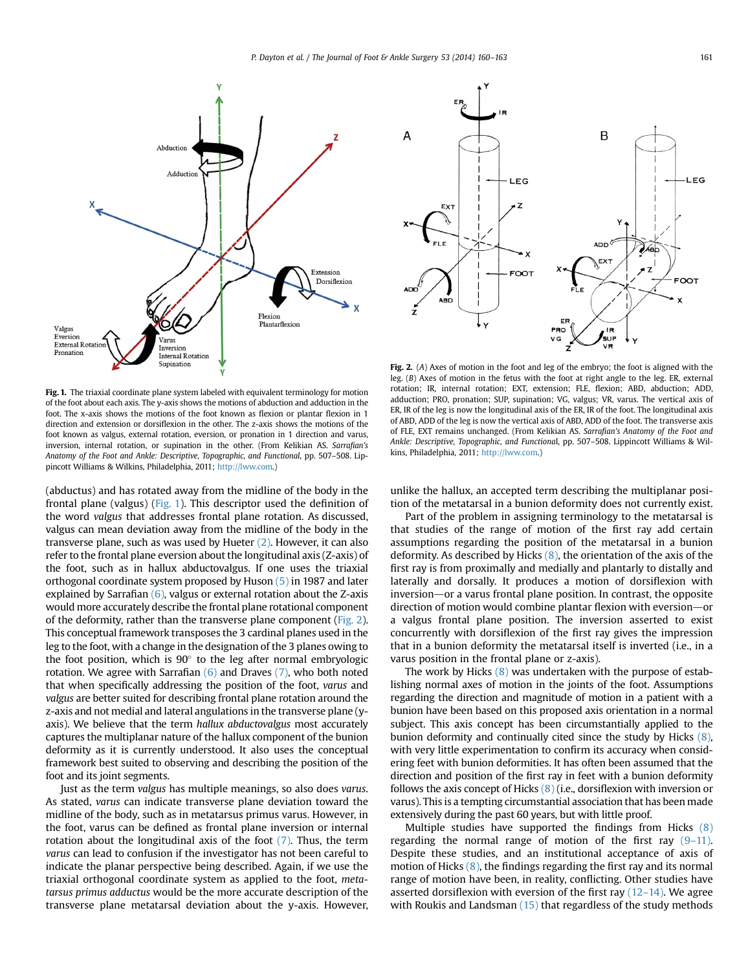<span id="page-1-0"></span>

Fig. 1. The triaxial coordinate plane system labeled with equivalent terminology for motion of the foot about each axis. The y-axis shows the motions of abduction and adduction in the foot. The x-axis shows the motions of the foot known as flexion or plantar flexion in 1 direction and extension or dorsiflexion in the other. The z-axis shows the motions of the foot known as valgus, external rotation, eversion, or pronation in 1 direction and varus, inversion, internal rotation, or supination in the other. (From Kelikian AS. Sarrafian's Anatomy of the Foot and Ankle: Descriptive, Topographic, and Functional, pp. 507–508. Lippincott Williams & Wilkins, Philadelphia, 2011; [http://lww.com.](http://lww.com))

(abductus) and has rotated away from the midline of the body in the frontal plane (valgus) (Fig. 1). This descriptor used the definition of the word valgus that addresses frontal plane rotation. As discussed, valgus can mean deviation away from the midline of the body in the transverse plane, such as was used by Hueter [\(2\)](#page-3-0). However, it can also refer to the frontal plane eversion about the longitudinal axis (Z-axis) of the foot, such as in hallux abductovalgus. If one uses the triaxial orthogonal coordinate system proposed by Huson [\(5\)](#page-3-0) in 1987 and later explained by Sarrafian  $(6)$ , valgus or external rotation about the Z-axis would more accurately describe the frontal plane rotational component of the deformity, rather than the transverse plane component (Fig. 2). This conceptual framework transposes the 3 cardinal planes used in the leg to the foot, with a change in the designation of the 3 planes owing to the foot position, which is  $90^\circ$  to the leg after normal embryologic rotation. We agree with Sarrafian  $(6)$  and Draves  $(7)$ , who both noted that when specifically addressing the position of the foot, varus and valgus are better suited for describing frontal plane rotation around the z-axis and not medial and lateral angulations in the transverse plane (yaxis). We believe that the term hallux abductovalgus most accurately captures the multiplanar nature of the hallux component of the bunion deformity as it is currently understood. It also uses the conceptual framework best suited to observing and describing the position of the foot and its joint segments.

Just as the term valgus has multiple meanings, so also does varus. As stated, varus can indicate transverse plane deviation toward the midline of the body, such as in metatarsus primus varus. However, in the foot, varus can be defined as frontal plane inversion or internal rotation about the longitudinal axis of the foot [\(7\)](#page-3-0). Thus, the term varus can lead to confusion if the investigator has not been careful to indicate the planar perspective being described. Again, if we use the triaxial orthogonal coordinate system as applied to the foot, metatarsus primus adductus would be the more accurate description of the transverse plane metatarsal deviation about the y-axis. However,



Fig. 2. (A) Axes of motion in the foot and leg of the embryo; the foot is aligned with the leg. (B) Axes of motion in the fetus with the foot at right angle to the leg. ER, external rotation; IR, internal rotation; EXT, extension; FLE, flexion; ABD, abduction; ADD, adduction; PRO, pronation; SUP, supination; VG, valgus; VR, varus. The vertical axis of ER, IR of the leg is now the longitudinal axis of the ER, IR of the foot. The longitudinal axis of ABD, ADD of the leg is now the vertical axis of ABD, ADD of the foot. The transverse axis of FLE, EXT remains unchanged. (From Kelikian AS. Sarrafian's Anatomy of the Foot and Ankle: Descriptive, Topographic, and Functional, pp. 507–508. Lippincott Williams & Wilkins, Philadelphia, 2011; [http://lww.com.](http://lww.com))

unlike the hallux, an accepted term describing the multiplanar position of the metatarsal in a bunion deformity does not currently exist.

Part of the problem in assigning terminology to the metatarsal is that studies of the range of motion of the first ray add certain assumptions regarding the position of the metatarsal in a bunion deformity. As described by Hicks  $(8)$ , the orientation of the axis of the first ray is from proximally and medially and plantarly to distally and laterally and dorsally. It produces a motion of dorsiflexion with inversion—or a varus frontal plane position. In contrast, the opposite direction of motion would combine plantar flexion with eversion—or a valgus frontal plane position. The inversion asserted to exist concurrently with dorsiflexion of the first ray gives the impression that in a bunion deformity the metatarsal itself is inverted (i.e., in a varus position in the frontal plane or z-axis).

The work by Hicks  $(8)$  was undertaken with the purpose of establishing normal axes of motion in the joints of the foot. Assumptions regarding the direction and magnitude of motion in a patient with a bunion have been based on this proposed axis orientation in a normal subject. This axis concept has been circumstantially applied to the bunion deformity and continually cited since the study by Hicks [\(8\)](#page-3-0), with very little experimentation to confirm its accuracy when considering feet with bunion deformities. It has often been assumed that the direction and position of the first ray in feet with a bunion deformity follows the axis concept of Hicks  $(8)$  (i.e., dorsiflexion with inversion or varus). This is a tempting circumstantial association that has been made extensively during the past 60 years, but with little proof.

Multiple studies have supported the findings from Hicks [\(8\)](#page-3-0) regarding the normal range of motion of the first ray  $(9-11)$  $(9-11)$ . Despite these studies, and an institutional acceptance of axis of motion of Hicks [\(8\),](#page-3-0) the findings regarding the first ray and its normal range of motion have been, in reality, conflicting. Other studies have asserted dorsiflexion with eversion of the first ray  $(12-14)$  $(12-14)$ . We agree with Roukis and Landsman [\(15\)](#page-3-0) that regardless of the study methods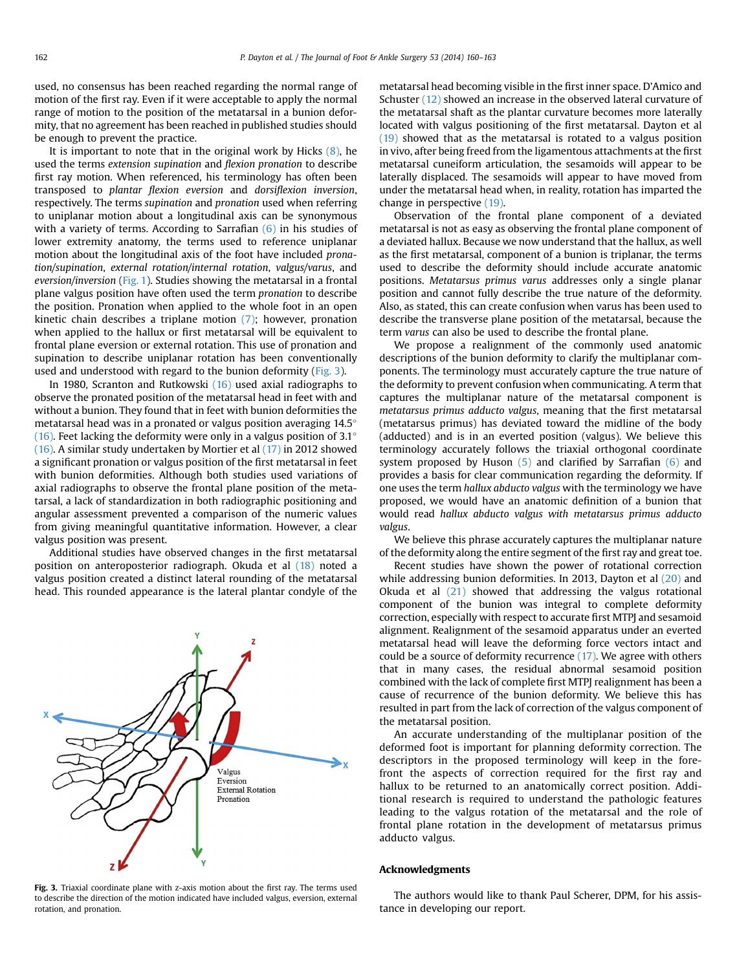used, no consensus has been reached regarding the normal range of motion of the first ray. Even if it were acceptable to apply the normal range of motion to the position of the metatarsal in a bunion deformity, that no agreement has been reached in published studies should be enough to prevent the practice.

It is important to note that in the original work by Hicks  $(8)$ , he used the terms extension supination and flexion pronation to describe first ray motion. When referenced, his terminology has often been transposed to plantar flexion eversion and dorsiflexion inversion, respectively. The terms supination and pronation used when referring to uniplanar motion about a longitudinal axis can be synonymous with a variety of terms. According to Sarrafian  $(6)$  in his studies of lower extremity anatomy, the terms used to reference uniplanar motion about the longitudinal axis of the foot have included pronation/supination, external rotation/internal rotation, valgus/varus, and eversion/inversion ([Fig. 1](#page-1-0)). Studies showing the metatarsal in a frontal plane valgus position have often used the term pronation to describe the position. Pronation when applied to the whole foot in an open kinetic chain describes a triplane motion [\(7\);](#page-3-0) however, pronation when applied to the hallux or first metatarsal will be equivalent to frontal plane eversion or external rotation. This use of pronation and supination to describe uniplanar rotation has been conventionally used and understood with regard to the bunion deformity (Fig. 3).

In 1980, Scranton and Rutkowski [\(16\)](#page-3-0) used axial radiographs to observe the pronated position of the metatarsal head in feet with and without a bunion. They found that in feet with bunion deformities the metatarsal head was in a pronated or valgus position averaging 14.5 [\(16\).](#page-3-0) Feet lacking the deformity were only in a valgus position of 3.1 $^{\circ}$ [\(16\).](#page-3-0) A similar study undertaken by Mortier et al [\(17\)](#page-3-0) in 2012 showed a significant pronation or valgus position of the first metatarsal in feet with bunion deformities. Although both studies used variations of axial radiographs to observe the frontal plane position of the metatarsal, a lack of standardization in both radiographic positioning and angular assessment prevented a comparison of the numeric values from giving meaningful quantitative information. However, a clear valgus position was present.

Additional studies have observed changes in the first metatarsal position on anteroposterior radiograph. Okuda et al [\(18\)](#page-3-0) noted a valgus position created a distinct lateral rounding of the metatarsal head. This rounded appearance is the lateral plantar condyle of the



Fig. 3. Triaxial coordinate plane with z-axis motion about the first ray. The terms used to describe the direction of the motion indicated have included valgus, eversion, external rotation, and pronation.

metatarsal head becoming visible in the first inner space. D'Amico and Schuster [\(12\)](#page-3-0) showed an increase in the observed lateral curvature of the metatarsal shaft as the plantar curvature becomes more laterally located with valgus positioning of the first metatarsal. Dayton et al [\(19\)](#page-3-0) showed that as the metatarsal is rotated to a valgus position in vivo, after being freed from the ligamentous attachments at the first metatarsal cuneiform articulation, the sesamoids will appear to be laterally displaced. The sesamoids will appear to have moved from under the metatarsal head when, in reality, rotation has imparted the change in perspective [\(19\).](#page-3-0)

Observation of the frontal plane component of a deviated metatarsal is not as easy as observing the frontal plane component of a deviated hallux. Because we now understand that the hallux, as well as the first metatarsal, component of a bunion is triplanar, the terms used to describe the deformity should include accurate anatomic positions. Metatarsus primus varus addresses only a single planar position and cannot fully describe the true nature of the deformity. Also, as stated, this can create confusion when varus has been used to describe the transverse plane position of the metatarsal, because the term varus can also be used to describe the frontal plane.

We propose a realignment of the commonly used anatomic descriptions of the bunion deformity to clarify the multiplanar components. The terminology must accurately capture the true nature of the deformity to prevent confusion when communicating. A term that captures the multiplanar nature of the metatarsal component is metatarsus primus adducto valgus, meaning that the first metatarsal (metatarsus primus) has deviated toward the midline of the body (adducted) and is in an everted position (valgus). We believe this terminology accurately follows the triaxial orthogonal coordinate system proposed by Huson [\(5\)](#page-3-0) and clarified by Sarrafian [\(6\)](#page-3-0) and provides a basis for clear communication regarding the deformity. If one uses the term hallux abducto valgus with the terminology we have proposed, we would have an anatomic definition of a bunion that would read hallux abducto valgus with metatarsus primus adducto valgus.

We believe this phrase accurately captures the multiplanar nature of the deformity along the entire segment of the first ray and great toe.

Recent studies have shown the power of rotational correction while addressing bunion deformities. In 2013, Dayton et al [\(20\)](#page-3-0) and Okuda et al  $(21)$  showed that addressing the valgus rotational component of the bunion was integral to complete deformity correction, especially with respect to accurate first MTPJ and sesamoid alignment. Realignment of the sesamoid apparatus under an everted metatarsal head will leave the deforming force vectors intact and could be a source of deformity recurrence [\(17\).](#page-3-0) We agree with others that in many cases, the residual abnormal sesamoid position combined with the lack of complete first MTPJ realignment has been a cause of recurrence of the bunion deformity. We believe this has resulted in part from the lack of correction of the valgus component of the metatarsal position.

An accurate understanding of the multiplanar position of the deformed foot is important for planning deformity correction. The descriptors in the proposed terminology will keep in the forefront the aspects of correction required for the first ray and hallux to be returned to an anatomically correct position. Additional research is required to understand the pathologic features leading to the valgus rotation of the metatarsal and the role of frontal plane rotation in the development of metatarsus primus adducto valgus.

### Acknowledgments

The authors would like to thank Paul Scherer, DPM, for his assistance in developing our report.